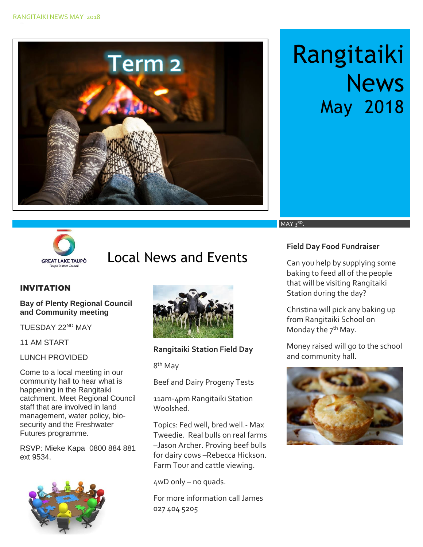

# Rangitaiki **News** May 2018



# GREAT LAKE TAUPO **LOCAL News and Events**

#### INVITATION

#### **Bay of Plenty Regional Council and Community meeting**

TUESDAY 22ND MAY

11 AM START

#### LUNCH PROVIDED

Come to a local meeting in our community hall to hear what is happening in the Rangitaiki catchment. Meet Regional Council staff that are involved in land management, water policy, biosecurity and the Freshwater Futures programme.

RSVP: Mieke Kapa 0800 884 881 ext 9534.





**Rangitaiki Station Field Day** 

8<sup>th</sup> May

Beef and Dairy Progeny Tests

11am-4pm Rangitaiki Station Woolshed.

Topics: Fed well, bred well.- Max Tweedie. Real bulls on real farms –Jason Archer. Proving beef bulls for dairy cows –Rebecca Hickson. Farm Tour and cattle viewing.

4wD only – no quads.

For more information call James 027 404 5205

#### **Field Day Food Fundraiser**

MAY 3RD.

Can you help by supplying some baking to feed all of the people that will be visiting Rangitaiki Station during the day?

Christina will pick any baking up from Rangitaiki School on Monday the  $7<sup>th</sup>$  May.

Money raised will go to the school and community hall.

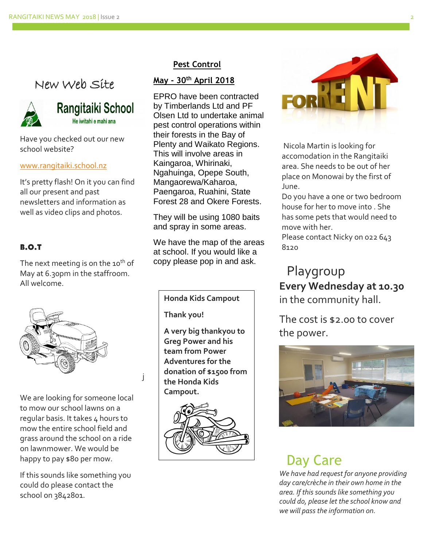### New Web Site



### Rangitaiki School He iwitahi e mahi ana

Have you checked out our new school website?

#### [www.rangitaiki.school.nz](http://www.rangitaiki.school.nz/)

It's pretty flash! On it you can find all our present and past newsletters and information as well as video clips and photos.

#### B.O.T

The next meeting is on the 10<sup>th</sup> of May at 6.30pm in the staffroom. All welcome.



We are looking for someone local to mow our school lawns on a regular basis. It takes 4 hours to mow the entire school field and grass around the school on a ride on lawnmower. We would be happy to pay \$80 per mow.

If this sounds like something you could do please contact the school on 3842801.

#### **Pest Control**

#### **May - 30th April 2018**

EPRO have been contracted by Timberlands Ltd and PF Olsen Ltd to undertake animal pest control operations within their forests in the Bay of Plenty and Waikato Regions. This will involve areas in Kaingaroa, Whirinaki, Ngahuinga, Opepe South, Mangaorewa/Kaharoa, Paengaroa, Ruahini, State Forest 28 and Okere Forests.

They will be using 1080 baits and spray in some areas.

We have the map of the areas at school. If you would like a copy please pop in and ask.

**Honda Kids Campout** 

**Thank you!**

j

**A very big thankyou to Greg Power and his team from Power Adventures for the donation of \$1500 from the Honda Kids Campout.**





Nicola Martin is looking for accomodation in the Rangitaiki area. She needs to be out of her place on Monowai by the first of June.

Do you have a one or two bedroom house for her to move into . She has some pets that would need to move with her.

Please contact Nicky on 022 643 8120

## Playgroup **Every Wednesday at 10.30** in the community hall.

The cost is \$2.00 to cover the power.



# Day Care

*We have had request for anyone providing day care/crèche in their own home in the area. If this sounds like something you could do, please let the school know and we will pass the information on.*